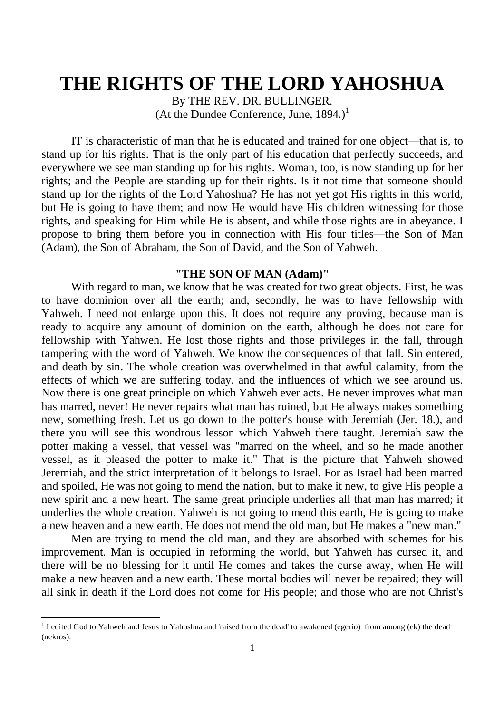# **THE RIGHTS OF THE LORD YAHOSHUA**

By THE REV. DR. BULLINGER. (At the Dundee Conference, June,  $1894.$ )<sup>1</sup>

IT is characteristic of man that he is educated and trained for one object—that is, to stand up for his rights. That is the only part of his education that perfectly succeeds, and everywhere we see man standing up for his rights. Woman, too, is now standing up for her rights; and the People are standing up for their rights. Is it not time that someone should stand up for the rights of the Lord Yahoshua? He has not yet got His rights in this world, but He is going to have them; and now He would have His children witnessing for those rights, and speaking for Him while He is absent, and while those rights are in abeyance. I propose to bring them before you in connection with His four titles—the Son of Man (Adam), the Son of Abraham, the Son of David, and the Son of Yahweh.

## **"THE SON OF MAN (Adam)"**

With regard to man, we know that he was created for two great objects. First, he was to have dominion over all the earth; and, secondly, he was to have fellowship with Yahweh. I need not enlarge upon this. It does not require any proving, because man is ready to acquire any amount of dominion on the earth, although he does not care for fellowship with Yahweh. He lost those rights and those privileges in the fall, through tampering with the word of Yahweh. We know the consequences of that fall. Sin entered, and death by sin. The whole creation was overwhelmed in that awful calamity, from the effects of which we are suffering today, and the influences of which we see around us. Now there is one great principle on which Yahweh ever acts. He never improves what man has marred, never! He never repairs what man has ruined, but He always makes something new, something fresh. Let us go down to the potter's house with Jeremiah (Jer. 18.), and there you will see this wondrous lesson which Yahweh there taught. Jeremiah saw the potter making a vessel, that vessel was "marred on the wheel, and so he made another vessel, as it pleased the potter to make it." That is the picture that Yahweh showed Jeremiah, and the strict interpretation of it belongs to Israel. For as Israel had been marred and spoiled, He was not going to mend the nation, but to make it new, to give His people a new spirit and a new heart. The same great principle underlies all that man has marred; it underlies the whole creation. Yahweh is not going to mend this earth, He is going to make a new heaven and a new earth. He does not mend the old man, but He makes a "new man."

Men are trying to mend the old man, and they are absorbed with schemes for his improvement. Man is occupied in reforming the world, but Yahweh has cursed it, and there will be no blessing for it until He comes and takes the curse away, when He will make a new heaven and a new earth. These mortal bodies will never be repaired; they will all sink in death if the Lord does not come for His people; and those who are not Christ's

 $<sup>1</sup>$  I edited God to Yahweh and Jesus to Yahoshua and 'raised from the dead' to awakened (egerio) from among (ek) the dead</sup> (nekros).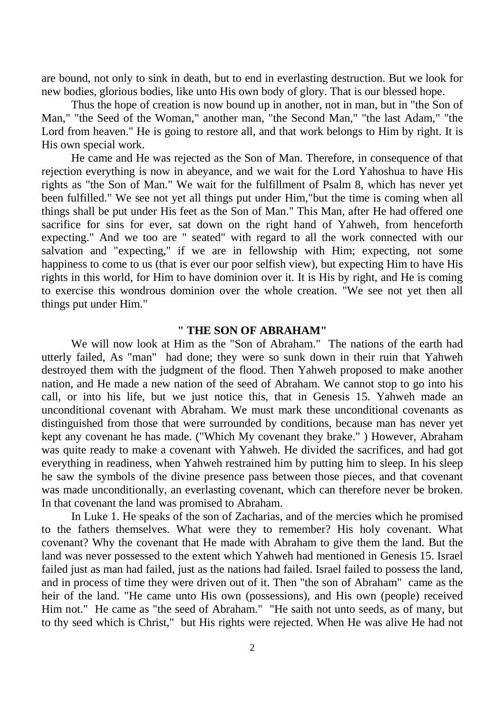are bound, not only to sink in death, but to end in everlasting destruction. But we look for new bodies, glorious bodies, like unto His own body of glory. That is our blessed hope.

Thus the hope of creation is now bound up in another, not in man, but in "the Son of Man," "the Seed of the Woman," another man, "the Second Man," "the last Adam," "the Lord from heaven." He is going to restore all, and that work belongs to Him by right. It is His own special work.

He came and He was rejected as the Son of Man. Therefore, in consequence of that rejection everything is now in abeyance, and we wait for the Lord Yahoshua to have His rights as "the Son of Man." We wait for the fulfillment of Psalm 8, which has never yet been fulfilled." We see not yet all things put under Him,"but the time is coming when all things shall be put under His feet as the Son of Man." This Man, after He had offered one sacrifice for sins for ever, sat down on the right hand of Yahweh, from henceforth expecting." And we too are " seated" with regard to all the work connected with our salvation and "expecting," if we are in fellowship with Him; expecting, not some happiness to come to us (that is ever our poor selfish view), but expecting Him to have His rights in this world, for Him to have dominion over it. It is His by right, and He is coming to exercise this wondrous dominion over the whole creation. "We see not yet then all things put under Him."

### **" THE SON OF ABRAHAM"**

We will now look at Him as the "Son of Abraham." The nations of the earth had utterly failed, As "man" had done; they were so sunk down in their ruin that Yahweh destroyed them with the judgment of the flood. Then Yahweh proposed to make another nation, and He made a new nation of the seed of Abraham. We cannot stop to go into his call, or into his life, but we just notice this, that in Genesis 15. Yahweh made an unconditional covenant with Abraham. We must mark these unconditional covenants as distinguished from those that were surrounded by conditions, because man has never yet kept any covenant he has made. ("Which My covenant they brake." ) However, Abraham was quite ready to make a covenant with Yahweh. He divided the sacrifices, and had got everything in readiness, when Yahweh restrained him by putting him to sleep. In his sleep he saw the symbols of the divine presence pass between those pieces, and that covenant was made unconditionally, an everlasting covenant, which can therefore never be broken. In that covenant the land was promised to Abraham.

In Luke 1. He speaks of the son of Zacharias, and of the mercies which he promised to the fathers themselves. What were they to remember? His holy covenant. What covenant? Why the covenant that He made with Abraham to give them the land. But the land was never possessed to the extent which Yahweh had mentioned in Genesis 15. Israel failed just as man had failed, just as the nations had failed. Israel failed to possess the land, and in process of time they were driven out of it. Then "the son of Abraham" came as the heir of the land. "He came unto His own (possessions), and His own (people) received Him not." He came as "the seed of Abraham." "He saith not unto seeds, as of many, but to thy seed which is Christ," but His rights were rejected. When He was alive He had not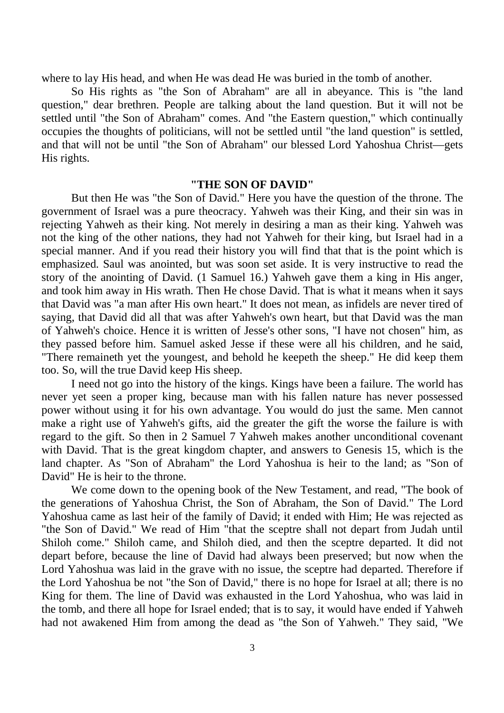where to lay His head, and when He was dead He was buried in the tomb of another.

So His rights as "the Son of Abraham" are all in abeyance. This is "the land question," dear brethren. People are talking about the land question. But it will not be settled until "the Son of Abraham" comes. And "the Eastern question," which continually occupies the thoughts of politicians, will not be settled until "the land question" is settled, and that will not be until "the Son of Abraham" our blessed Lord Yahoshua Christ—gets His rights.

#### **"THE SON OF DAVID"**

But then He was "the Son of David." Here you have the question of the throne. The government of Israel was a pure theocracy. Yahweh was their King, and their sin was in rejecting Yahweh as their king. Not merely in desiring a man as their king. Yahweh was not the king of the other nations, they had not Yahweh for their king, but Israel had in a special manner. And if you read their history you will find that that is the point which is emphasized. Saul was anointed, but was soon set aside. It is very instructive to read the story of the anointing of David. (1 Samuel 16.) Yahweh gave them a king in His anger, and took him away in His wrath. Then He chose David. That is what it means when it says that David was "a man after His own heart." It does not mean, as infidels are never tired of saying, that David did all that was after Yahweh's own heart, but that David was the man of Yahweh's choice. Hence it is written of Jesse's other sons, "I have not chosen" him, as they passed before him. Samuel asked Jesse if these were all his children, and he said, "There remaineth yet the youngest, and behold he keepeth the sheep." He did keep them too. So, will the true David keep His sheep.

I need not go into the history of the kings. Kings have been a failure. The world has never yet seen a proper king, because man with his fallen nature has never possessed power without using it for his own advantage. You would do just the same. Men cannot make a right use of Yahweh's gifts, aid the greater the gift the worse the failure is with regard to the gift. So then in 2 Samuel 7 Yahweh makes another unconditional covenant with David. That is the great kingdom chapter, and answers to Genesis 15, which is the land chapter. As "Son of Abraham" the Lord Yahoshua is heir to the land; as "Son of David" He is heir to the throne.

We come down to the opening book of the New Testament, and read, "The book of the generations of Yahoshua Christ, the Son of Abraham, the Son of David." The Lord Yahoshua came as last heir of the family of David; it ended with Him; He was rejected as "the Son of David." We read of Him "that the sceptre shall not depart from Judah until Shiloh come." Shiloh came, and Shiloh died, and then the sceptre departed. It did not depart before, because the line of David had always been preserved; but now when the Lord Yahoshua was laid in the grave with no issue, the sceptre had departed. Therefore if the Lord Yahoshua be not "the Son of David," there is no hope for Israel at all; there is no King for them. The line of David was exhausted in the Lord Yahoshua, who was laid in the tomb, and there all hope for Israel ended; that is to say, it would have ended if Yahweh had not awakened Him from among the dead as "the Son of Yahweh." They said, "We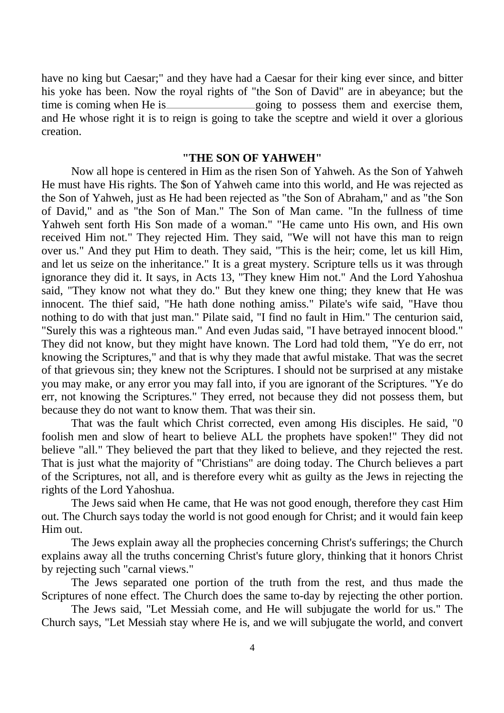have no king but Caesar;" and they have had a Caesar for their king ever since, and bitter his yoke has been. Now the royal rights of "the Son of David" are in abeyance; but the time is coming when He is going to possess them and exercise them, and He whose right it is to reign is going to take the sceptre and wield it over a glorious creation.

### **"THE SON OF YAHWEH"**

Now all hope is centered in Him as the risen Son of Yahweh. As the Son of Yahweh He must have His rights. The \$on of Yahweh came into this world, and He was rejected as the Son of Yahweh, just as He had been rejected as "the Son of Abraham," and as "the Son of David," and as "the Son of Man." The Son of Man came. "In the fullness of time Yahweh sent forth His Son made of a woman." "He came unto His own, and His own received Him not." They rejected Him. They said, "We will not have this man to reign over us." And they put Him to death. They said, "This is the heir; come, let us kill Him, and let us seize on the inheritance." It is a great mystery. Scripture tells us it was through ignorance they did it. It says, in Acts 13, "They knew Him not." And the Lord Yahoshua said, "They know not what they do." But they knew one thing; they knew that He was innocent. The thief said, "He hath done nothing amiss." Pilate's wife said, "Have thou nothing to do with that just man." Pilate said, "I find no fault in Him." The centurion said, "Surely this was a righteous man." And even Judas said, "I have betrayed innocent blood." They did not know, but they might have known. The Lord had told them, "Ye do err, not knowing the Scriptures," and that is why they made that awful mistake. That was the secret of that grievous sin; they knew not the Scriptures. I should not be surprised at any mistake you may make, or any error you may fall into, if you are ignorant of the Scriptures. "Ye do err, not knowing the Scriptures." They erred, not because they did not possess them, but because they do not want to know them. That was their sin.

That was the fault which Christ corrected, even among His disciples. He said, "0 foolish men and slow of heart to believe ALL the prophets have spoken!" They did not believe "all." They believed the part that they liked to believe, and they rejected the rest. That is just what the majority of "Christians" are doing today. The Church believes a part of the Scriptures, not all, and is therefore every whit as guilty as the Jews in rejecting the rights of the Lord Yahoshua.

The Jews said when He came, that He was not good enough, therefore they cast Him out. The Church says today the world is not good enough for Christ; and it would fain keep Him out.

The Jews explain away all the prophecies concerning Christ's sufferings; the Church explains away all the truths concerning Christ's future glory, thinking that it honors Christ by rejecting such "carnal views."

The Jews separated one portion of the truth from the rest, and thus made the Scriptures of none effect. The Church does the same to-day by rejecting the other portion.

The Jews said, "Let Messiah come, and He will subjugate the world for us." The Church says, "Let Messiah stay where He is, and we will subjugate the world, and convert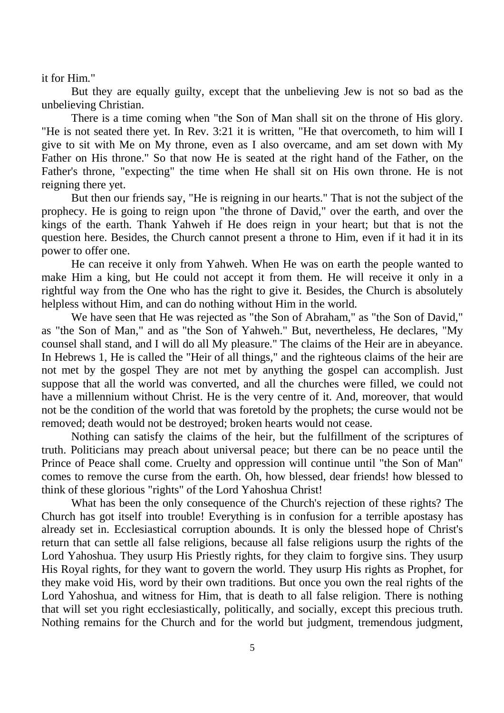it for Him."

But they are equally guilty, except that the unbelieving Jew is not so bad as the unbelieving Christian.

There is a time coming when "the Son of Man shall sit on the throne of His glory. "He is not seated there yet. In Rev. 3:21 it is written, "He that overcometh, to him will I give to sit with Me on My throne, even as I also overcame, and am set down with My Father on His throne." So that now He is seated at the right hand of the Father, on the Father's throne, "expecting" the time when He shall sit on His own throne. He is not reigning there yet.

But then our friends say, "He is reigning in our hearts." That is not the subject of the prophecy. He is going to reign upon "the throne of David," over the earth, and over the kings of the earth. Thank Yahweh if He does reign in your heart; but that is not the question here. Besides, the Church cannot present a throne to Him, even if it had it in its power to offer one.

He can receive it only from Yahweh. When He was on earth the people wanted to make Him a king, but He could not accept it from them. He will receive it only in a rightful way from the One who has the right to give it. Besides, the Church is absolutely helpless without Him, and can do nothing without Him in the world.

We have seen that He was rejected as "the Son of Abraham," as "the Son of David," as "the Son of Man," and as "the Son of Yahweh." But, nevertheless, He declares, "My counsel shall stand, and I will do all My pleasure." The claims of the Heir are in abeyance. In Hebrews 1, He is called the "Heir of all things," and the righteous claims of the heir are not met by the gospel They are not met by anything the gospel can accomplish. Just suppose that all the world was converted, and all the churches were filled, we could not have a millennium without Christ. He is the very centre of it. And, moreover, that would not be the condition of the world that was foretold by the prophets; the curse would not be removed; death would not be destroyed; broken hearts would not cease.

Nothing can satisfy the claims of the heir, but the fulfillment of the scriptures of truth. Politicians may preach about universal peace; but there can be no peace until the Prince of Peace shall come. Cruelty and oppression will continue until "the Son of Man" comes to remove the curse from the earth. Oh, how blessed, dear friends! how blessed to think of these glorious "rights" of the Lord Yahoshua Christ!

What has been the only consequence of the Church's rejection of these rights? The Church has got itself into trouble! Everything is in confusion for a terrible apostasy has already set in. Ecclesiastical corruption abounds. It is only the blessed hope of Christ's return that can settle all false religions, because all false religions usurp the rights of the Lord Yahoshua. They usurp His Priestly rights, for they claim to forgive sins. They usurp His Royal rights, for they want to govern the world. They usurp His rights as Prophet, for they make void His, word by their own traditions. But once you own the real rights of the Lord Yahoshua, and witness for Him, that is death to all false religion. There is nothing that will set you right ecclesiastically, politically, and socially, except this precious truth. Nothing remains for the Church and for the world but judgment, tremendous judgment,